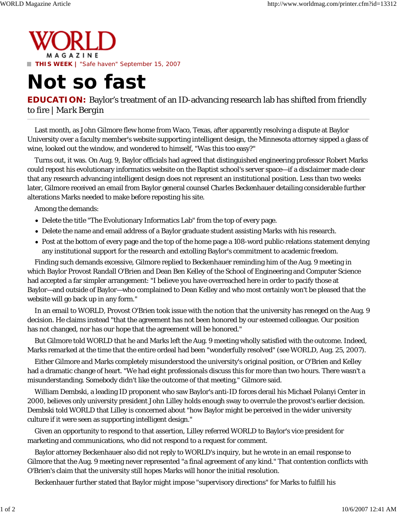

## **Not so fast**

**EDUCATION:** Baylor's treatment of an ID-advancing research lab has shifted from friendly to fire | *Mark Bergin*

Last month, as John Gilmore flew home from Waco, Texas, after apparently resolving a dispute at Baylor University over a faculty member's website supporting intelligent design, the Minnesota attorney sipped a glass of wine, looked out the window, and wondered to himself, "Was this too easy?"

Turns out, it was. On Aug. 9, Baylor officials had agreed that distinguished engineering professor Robert Marks could repost his evolutionary informatics website on the Baptist school's server space—if a disclaimer made clear that any research advancing intelligent design does not represent an institutional position. Less than two weeks later, Gilmore received an email from Baylor general counsel Charles Beckenhauer detailing considerable further alterations Marks needed to make before reposting his site.

Among the demands:

- Delete the title "The Evolutionary Informatics Lab" from the top of every page.
- Delete the name and email address of a Baylor graduate student assisting Marks with his research.
- Post at the bottom of every page and the top of the home page a 108-word public-relations statement denying any institutional support for the research and extolling Baylor's commitment to academic freedom.

Finding such demands excessive, Gilmore replied to Beckenhauer reminding him of the Aug. 9 meeting in which Baylor Provost Randall O'Brien and Dean Ben Kelley of the School of Engineering and Computer Science had accepted a far simpler arrangement: "I believe you have overreached here in order to pacify those at Baylor—and outside of Baylor—who complained to Dean Kelley and who most certainly won't be pleased that the website will go back up in any form."

In an email to WORLD, Provost O'Brien took issue with the notion that the university has reneged on the Aug. 9 decision. He claims instead "that the agreement has not been honored by our esteemed colleague. Our position has not changed, nor has our hope that the agreement will be honored."

But Gilmore told WORLD that he and Marks left the Aug. 9 meeting wholly satisfied with the outcome. Indeed, Marks remarked at the time that the entire ordeal had been "wonderfully resolved" (see WORLD, Aug. 25, 2007).

Either Gilmore and Marks completely misunderstood the university's original position, or O'Brien and Kelley had a dramatic change of heart. "We had eight professionals discuss this for more than two hours. There wasn't a misunderstanding. Somebody didn't like the outcome of that meeting," Gilmore said.

William Dembski, a leading ID proponent who saw Baylor's anti-ID forces derail his Michael Polanyi Center in 2000, believes only university president John Lilley holds enough sway to overrule the provost's earlier decision. Dembski told WORLD that Lilley is concerned about "how Baylor might be perceived in the wider university culture if it were seen as supporting intelligent design."

Given an opportunity to respond to that assertion, Lilley referred WORLD to Baylor's vice president for marketing and communications, who did not respond to a request for comment.

Baylor attorney Beckenhauer also did not reply to WORLD's inquiry, but he wrote in an email response to Gilmore that the Aug. 9 meeting never represented "a final agreement of any kind." That contention conflicts with O'Brien's claim that the university still hopes Marks will honor the initial resolution.

Beckenhauer further stated that Baylor might impose "supervisory directions" for Marks to fulfill his